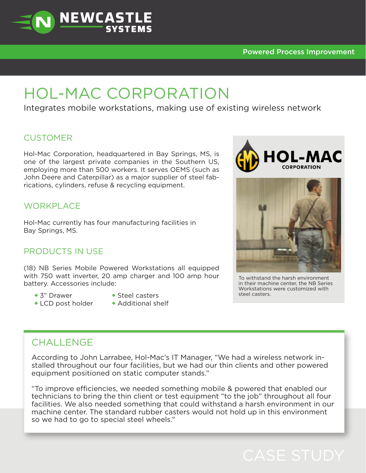**HOL-MAC** 

# HOL-MAC CORPORATION

**NEWCASTLE** 

Integrates mobile workstations, making use of existing wireless network

## **CUSTOMER**

Hol-Mac Corporation, headquartered in Bay Springs, MS, is one of the largest private companies in the Southern US, employing more than 500 workers. It serves OEMS (such as John Deere and Caterpillar) as a major supplier of steel fabrications, cylinders, refuse & recycling equipment.

# WORKPI ACF

Hol-Mac currently has four manufacturing facilities in Bay Springs, MS.

#### PRODUCTS IN USE

(18) NB Series Mobile Powered Workstations all equipped with 750 watt inverter, 20 amp charger and 100 amp hour battery. Accessories include:

- 3" Drawer
- **Steel casters**
- LCD post holder
- 
- Additional shelf



in their machine center, the NB Series Workstations were customized with steel casters.

# CHALL FNGF

According to John Larrabee, Hol-Mac's IT Manager, "We had a wireless network installed throughout our four facilities, but we had our thin clients and other powered equipment positioned on static computer stands."

"To improve efficiencies, we needed something mobile & powered that enabled our technicians to bring the thin client or test equipment "to the job" throughout all four facilities. We also needed something that could withstand a harsh environment in our machine center. The standard rubber casters would not hold up in this environment so we had to go to special steel wheels."